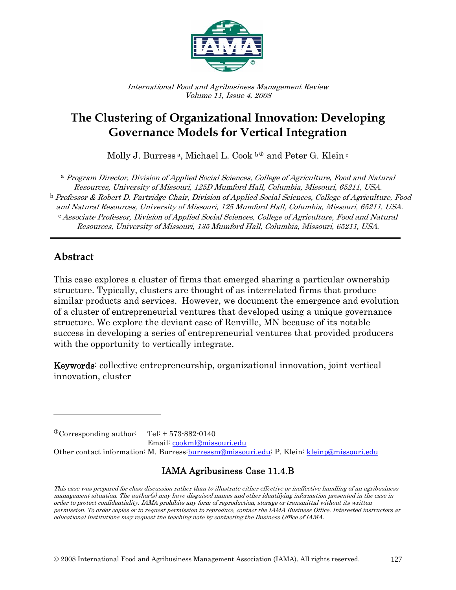

International Food and Agribusiness Management Review Volume 11, Issue 4, 2008

# **The Clustering of Organizational Innovation: Developing Governance Models for Vertical Integration**

Molly J. Burress<sup>a</sup>, Michael [L](#page-0-0). Cook  $b^{\oplus}$  and Peter G. Klein<sup>c</sup>

<sup>a</sup> Program Director, Division of Applied Social Sciences, College of Agriculture, Food and Natural Resources, University of Missouri, 125D Mumford Hall, Columbia, Missouri, 65211, USA.  $^{\rm b}$  Professor & Robert D. Partridge Chair, Division of Applied Social Sciences, College of Agriculture, Food and Natural Resources, University of Missouri, 125 Mumford Hall, Columbia, Missouri, 65211, USA. <sup>c</sup> Associate Professor, Division of Applied Social Sciences, College of Agriculture, Food and Natural Resources, University of Missouri, 135 Mumford Hall, Columbia, Missouri, 65211, USA.

### **Abstract**

 $\overline{a}$ 

This case explores a cluster of firms that emerged sharing a particular ownership structure. Typically, clusters are thought of as interrelated firms that produce similar products and services. However, we document the emergence and evolution of a cluster of entrepreneurial ventures that developed using a unique governance structure. We explore the deviant case of Renville, MN because of its notable success in developing a series of entrepreneurial ventures that provided producers with the opportunity to vertically integrate.

Keywords: collective entrepreneurship, organizational innovation, joint vertical innovation, cluster

<span id="page-0-0"></span> $^{\circ}$ Corresponding author: Tel: + 573-882-0140 Email: [cookml@missouri.edu](mailto:cookml@missouri.edu) Other contact information: M. Burress:burressm@missouri.edu; P. Klein: [kleinp@missouri.edu](mailto:kleinp@missouri.edu)

### IAMA Agribusiness Case 11.4.B

This case was prepared for class discussion rather than to illustrate either effective or ineffective handling of an agribusiness management situation. The author(s) may have disguised names and other identifying information presented in the case in order to protect confidentiality. IAMA prohibits any form of reproduction, storage or transmittal without its written permission. To order copies or to request permission to reproduce, contact the IAMA Business Office. Interested instructors at educational institutions may request the teaching note by contacting the Business Office of IAMA.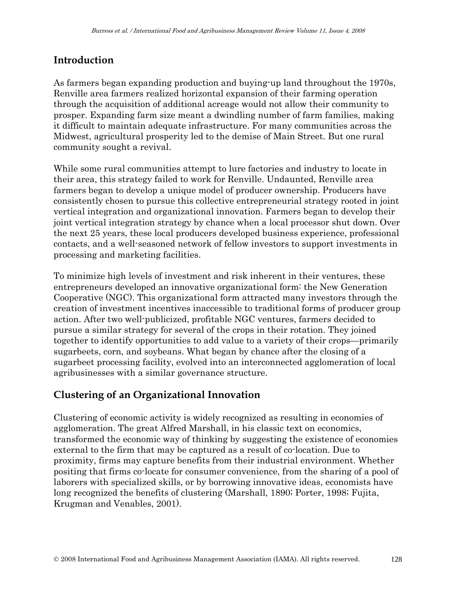# **Introduction**

As farmers began expanding production and buying-up land throughout the 1970s, Renville area farmers realized horizontal expansion of their farming operation through the acquisition of additional acreage would not allow their community to prosper. Expanding farm size meant a dwindling number of farm families, making it difficult to maintain adequate infrastructure. For many communities across the Midwest, agricultural prosperity led to the demise of Main Street. But one rural community sought a revival.

While some rural communities attempt to lure factories and industry to locate in their area, this strategy failed to work for Renville. Undaunted, Renville area farmers began to develop a unique model of producer ownership. Producers have consistently chosen to pursue this collective entrepreneurial strategy rooted in joint vertical integration and organizational innovation. Farmers began to develop their joint vertical integration strategy by chance when a local processor shut down. Over the next 25 years, these local producers developed business experience, professional contacts, and a well-seasoned network of fellow investors to support investments in processing and marketing facilities.

To minimize high levels of investment and risk inherent in their ventures, these entrepreneurs developed an innovative organizational form: the New Generation Cooperative (NGC). This organizational form attracted many investors through the creation of investment incentives inaccessible to traditional forms of producer group action. After two well-publicized, profitable NGC ventures, farmers decided to pursue a similar strategy for several of the crops in their rotation. They joined together to identify opportunities to add value to a variety of their crops—primarily sugarbeets, corn, and soybeans. What began by chance after the closing of a sugarbeet processing facility, evolved into an interconnected agglomeration of local agribusinesses with a similar governance structure.

### **Clustering of an Organizational Innovation**

Clustering of economic activity is widely recognized as resulting in economies of agglomeration. The great Alfred Marshall, in his classic text on economics, transformed the economic way of thinking by suggesting the existence of economies external to the firm that may be captured as a result of co-location. Due to proximity, firms may capture benefits from their industrial environment. Whether positing that firms co-locate for consumer convenience, from the sharing of a pool of laborers with specialized skills, or by borrowing innovative ideas, economists have long recognized the benefits of clustering (Marshall, 1890; Porter, 1998; Fujita, Krugman and Venables, 2001).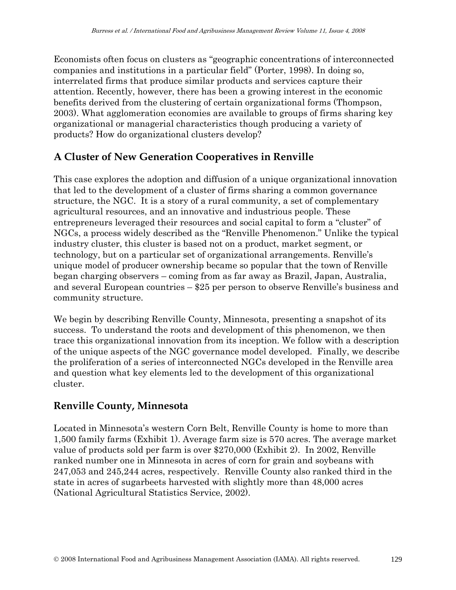Economists often focus on clusters as "geographic concentrations of interconnected companies and institutions in a particular field" (Porter, 1998). In doing so, interrelated firms that produce similar products and services capture their attention. Recently, however, there has been a growing interest in the economic benefits derived from the clustering of certain organizational forms (Thompson, 2003). What agglomeration economies are available to groups of firms sharing key organizational or managerial characteristics though producing a variety of products? How do organizational clusters develop?

# **A Cluster of New Generation Cooperatives in Renville**

This case explores the adoption and diffusion of a unique organizational innovation that led to the development of a cluster of firms sharing a common governance structure, the NGC. It is a story of a rural community, a set of complementary agricultural resources, and an innovative and industrious people. These entrepreneurs leveraged their resources and social capital to form a "cluster" of NGCs, a process widely described as the "Renville Phenomenon." Unlike the typical industry cluster, this cluster is based not on a product, market segment, or technology, but on a particular set of organizational arrangements. Renville's unique model of producer ownership became so popular that the town of Renville began charging observers – coming from as far away as Brazil, Japan, Australia, and several European countries – \$25 per person to observe Renville's business and community structure.

We begin by describing Renville County, Minnesota, presenting a snapshot of its success. To understand the roots and development of this phenomenon, we then trace this organizational innovation from its inception. We follow with a description of the unique aspects of the NGC governance model developed. Finally, we describe the proliferation of a series of interconnected NGCs developed in the Renville area and question what key elements led to the development of this organizational cluster.

### **Renville County, Minnesota**

Located in Minnesota's western Corn Belt, Renville County is home to more than 1,500 family farms (Exhibit 1). Average farm size is 570 acres. The average market value of products sold per farm is over \$270,000 (Exhibit 2). In 2002, Renville ranked number one in Minnesota in acres of corn for grain and soybeans with 247,053 and 245,244 acres, respectively. Renville County also ranked third in the state in acres of sugarbeets harvested with slightly more than 48,000 acres (National Agricultural Statistics Service, 2002).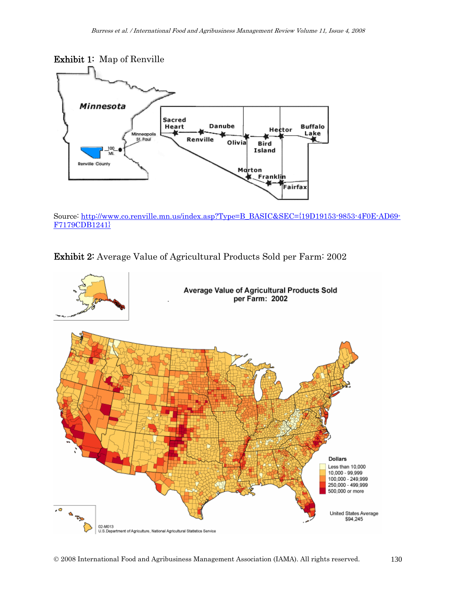

Source: [http://www.co.renville.mn.us/index.asp?Type=B\\_BASIC&SEC={19D19153-9853-4F0E-AD69-](http://www.co.renville.mn.us/index.asp?Type=B_BASIC&SEC=%7B19D19153-9853-4F0E-AD69-F7179CDB1241%7D) [F7179CDB1241}](http://www.co.renville.mn.us/index.asp?Type=B_BASIC&SEC=%7B19D19153-9853-4F0E-AD69-F7179CDB1241%7D) 

Exhibit 2: Average Value of Agricultural Products Sold per Farm: 2002

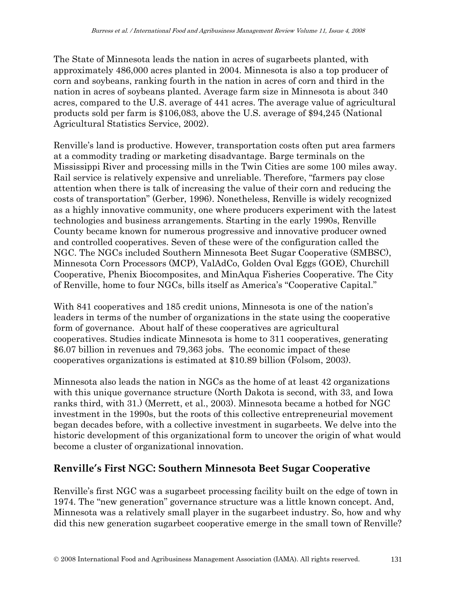The State of Minnesota leads the nation in acres of sugarbeets planted, with approximately 486,000 acres planted in 2004. Minnesota is also a top producer of corn and soybeans, ranking fourth in the nation in acres of corn and third in the nation in acres of soybeans planted. Average farm size in Minnesota is about 340 acres, compared to the U.S. average of 441 acres. The average value of agricultural products sold per farm is \$106,083, above the U.S. average of \$94,245 (National Agricultural Statistics Service, 2002).

Renville's land is productive. However, transportation costs often put area farmers at a commodity trading or marketing disadvantage. Barge terminals on the Mississippi River and processing mills in the Twin Cities are some 100 miles away. Rail service is relatively expensive and unreliable. Therefore, "farmers pay close attention when there is talk of increasing the value of their corn and reducing the costs of transportation" (Gerber, 1996). Nonetheless, Renville is widely recognized as a highly innovative community, one where producers experiment with the latest technologies and business arrangements. Starting in the early 1990s, Renville County became known for numerous progressive and innovative producer owned and controlled cooperatives. Seven of these were of the configuration called the NGC. The NGCs included Southern Minnesota Beet Sugar Cooperative (SMBSC), Minnesota Corn Processors (MCP), ValAdCo, Golden Oval Eggs (GOE), Churchill Cooperative, Phenix Biocomposites, and MinAqua Fisheries Cooperative. The City of Renville, home to four NGCs, bills itself as America's "Cooperative Capital."

With 841 cooperatives and 185 credit unions, Minnesota is one of the nation's leaders in terms of the number of organizations in the state using the cooperative form of governance. About half of these cooperatives are agricultural cooperatives. Studies indicate Minnesota is home to 311 cooperatives, generating \$6.07 billion in revenues and 79,363 jobs. The economic impact of these cooperatives organizations is estimated at \$10.89 billion (Folsom, 2003).

Minnesota also leads the nation in NGCs as the home of at least 42 organizations with this unique governance structure (North Dakota is second, with 33, and Iowa ranks third, with 31.) (Merrett, et al., 2003). Minnesota became a hotbed for NGC investment in the 1990s, but the roots of this collective entrepreneurial movement began decades before, with a collective investment in sugarbeets. We delve into the historic development of this organizational form to uncover the origin of what would become a cluster of organizational innovation.

### **Renville's First NGC: Southern Minnesota Beet Sugar Cooperative**

Renville's first NGC was a sugarbeet processing facility built on the edge of town in 1974. The "new generation" governance structure was a little known concept. And, Minnesota was a relatively small player in the sugarbeet industry. So, how and why did this new generation sugarbeet cooperative emerge in the small town of Renville?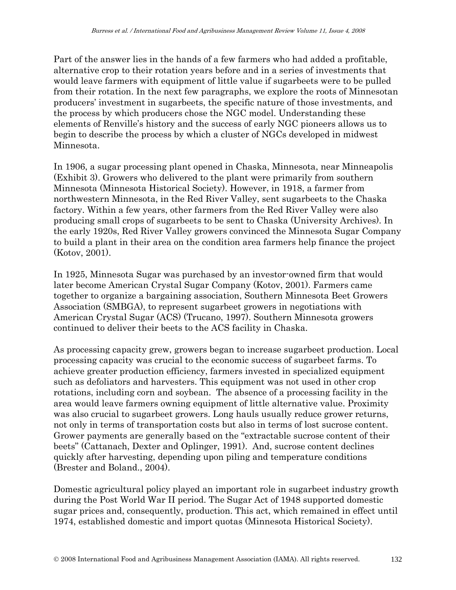Part of the answer lies in the hands of a few farmers who had added a profitable, alternative crop to their rotation years before and in a series of investments that would leave farmers with equipment of little value if sugarbeets were to be pulled from their rotation. In the next few paragraphs, we explore the roots of Minnesotan producers' investment in sugarbeets, the specific nature of those investments, and the process by which producers chose the NGC model. Understanding these elements of Renville's history and the success of early NGC pioneers allows us to begin to describe the process by which a cluster of NGCs developed in midwest Minnesota.

In 1906, a sugar processing plant opened in Chaska, Minnesota, near Minneapolis (Exhibit 3). Growers who delivered to the plant were primarily from southern Minnesota (Minnesota Historical Society). However, in 1918, a farmer from northwestern Minnesota, in the Red River Valley, sent sugarbeets to the Chaska factory. Within a few years, other farmers from the Red River Valley were also producing small crops of sugarbeets to be sent to Chaska (University Archives). In the early 1920s, Red River Valley growers convinced the Minnesota Sugar Company to build a plant in their area on the condition area farmers help finance the project (Kotov, 2001).

In 1925, Minnesota Sugar was purchased by an investor-owned firm that would later become American Crystal Sugar Company (Kotov, 2001). Farmers came together to organize a bargaining association, Southern Minnesota Beet Growers Association (SMBGA), to represent sugarbeet growers in negotiations with American Crystal Sugar (ACS) (Trucano, 1997). Southern Minnesota growers continued to deliver their beets to the ACS facility in Chaska.

As processing capacity grew, growers began to increase sugarbeet production. Local processing capacity was crucial to the economic success of sugarbeet farms. To achieve greater production efficiency, farmers invested in specialized equipment such as defoliators and harvesters. This equipment was not used in other crop rotations, including corn and soybean. The absence of a processing facility in the area would leave farmers owning equipment of little alternative value. Proximity was also crucial to sugarbeet growers. Long hauls usually reduce grower returns, not only in terms of transportation costs but also in terms of lost sucrose content. Grower payments are generally based on the "extractable sucrose content of their beets" (Cattanach, Dexter and Oplinger, 1991). And, sucrose content declines quickly after harvesting, depending upon piling and temperature conditions (Brester and Boland., 2004).

Domestic agricultural policy played an important role in sugarbeet industry growth during the Post World War II period. The Sugar Act of 1948 supported domestic sugar prices and, consequently, production. This act, which remained in effect until 1974, established domestic and import quotas (Minnesota Historical Society).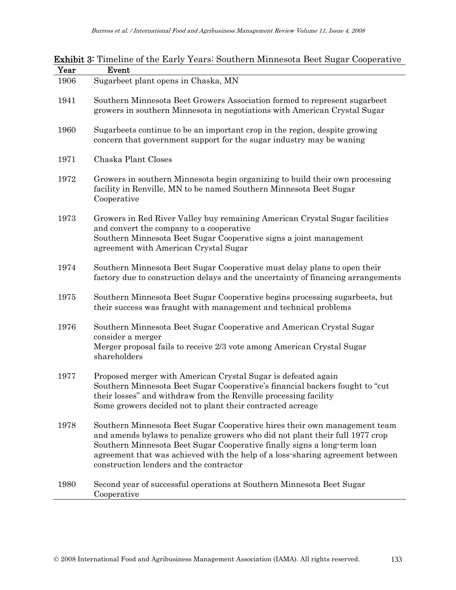|              |  |  |  | <b>Exhibit 3:</b> Timeline of the Early Years: Southern Minnesota Beet Sugar Cooperative |  |  |
|--------------|--|--|--|------------------------------------------------------------------------------------------|--|--|
| $\mathbf{v}$ |  |  |  |                                                                                          |  |  |

| Year | Event                                                                                                                                                                                                                                                                                                                                                             |
|------|-------------------------------------------------------------------------------------------------------------------------------------------------------------------------------------------------------------------------------------------------------------------------------------------------------------------------------------------------------------------|
| 1906 | Sugarbeet plant opens in Chaska, MN                                                                                                                                                                                                                                                                                                                               |
| 1941 | Southern Minnesota Beet Growers Association formed to represent sugarbeet<br>growers in southern Minnesota in negotiations with American Crystal Sugar                                                                                                                                                                                                            |
| 1960 | Sugarbeets continue to be an important crop in the region, despite growing<br>concern that government support for the sugar industry may be waning                                                                                                                                                                                                                |
| 1971 | Chaska Plant Closes                                                                                                                                                                                                                                                                                                                                               |
| 1972 | Growers in southern Minnesota begin organizing to build their own processing<br>facility in Renville, MN to be named Southern Minnesota Beet Sugar<br>Cooperative                                                                                                                                                                                                 |
| 1973 | Growers in Red River Valley buy remaining American Crystal Sugar facilities<br>and convert the company to a cooperative<br>Southern Minnesota Beet Sugar Cooperative signs a joint management<br>agreement with American Crystal Sugar                                                                                                                            |
| 1974 | Southern Minnesota Beet Sugar Cooperative must delay plans to open their<br>factory due to construction delays and the uncertainty of financing arrangements                                                                                                                                                                                                      |
| 1975 | Southern Minnesota Beet Sugar Cooperative begins processing sugarbeets, but<br>their success was fraught with management and technical problems                                                                                                                                                                                                                   |
| 1976 | Southern Minnesota Beet Sugar Cooperative and American Crystal Sugar<br>consider a merger<br>Merger proposal fails to receive 2/3 vote among American Crystal Sugar<br>shareholders                                                                                                                                                                               |
| 1977 | Proposed merger with American Crystal Sugar is defeated again<br>Southern Minnesota Beet Sugar Cooperative's financial backers fought to "cut"<br>their losses" and withdraw from the Renville processing facility<br>Some growers decided not to plant their contracted acreage                                                                                  |
| 1978 | Southern Minnesota Beet Sugar Cooperative hires their own management team<br>and amends bylaws to penalize growers who did not plant their full 1977 crop<br>Southern Minnesota Beet Sugar Cooperative finally signs a long-term loan<br>agreement that was achieved with the help of a loss-sharing agreement between<br>construction lenders and the contractor |
| 1980 | Second year of successful operations at Southern Minnesota Beet Sugar<br>Cooperative                                                                                                                                                                                                                                                                              |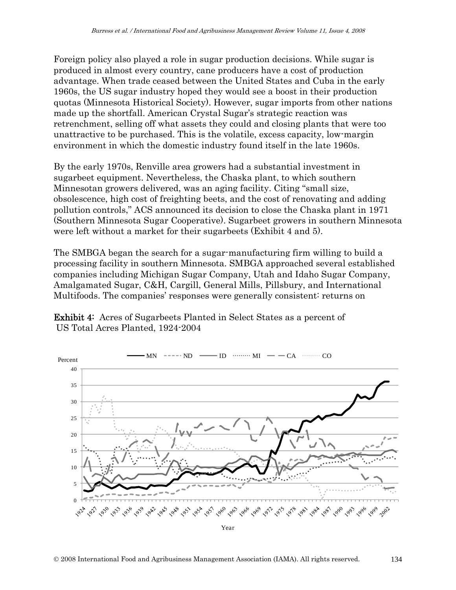Foreign policy also played a role in sugar production decisions. While sugar is produced in almost every country, cane producers have a cost of production advantage. When trade ceased between the United States and Cuba in the early 1960s, the US sugar industry hoped they would see a boost in their production quotas (Minnesota Historical Society). However, sugar imports from other nations made up the shortfall. American Crystal Sugar's strategic reaction was retrenchment, selling off what assets they could and closing plants that were too unattractive to be purchased. This is the volatile, excess capacity, low-margin environment in which the domestic industry found itself in the late 1960s.

By the early 1970s, Renville area growers had a substantial investment in sugarbeet equipment. Nevertheless, the Chaska plant, to which southern Minnesotan growers delivered, was an aging facility. Citing "small size, obsolescence, high cost of freighting beets, and the cost of renovating and adding pollution controls," ACS announced its decision to close the Chaska plant in 1971 (Southern Minnesota Sugar Cooperative). Sugarbeet growers in southern Minnesota were left without a market for their sugarbeets (Exhibit 4 and 5).

The SMBGA began the search for a sugar-manufacturing firm willing to build a processing facility in southern Minnesota. SMBGA approached several established companies including Michigan Sugar Company, Utah and Idaho Sugar Company, Amalgamated Sugar, C&H, Cargill, General Mills, Pillsbury, and International Multifoods. The companies' responses were generally consistent: returns on

Exhibit 4: Acres of Sugarbeets Planted in Select States as a percent of US Total Acres Planted, 1924-2004

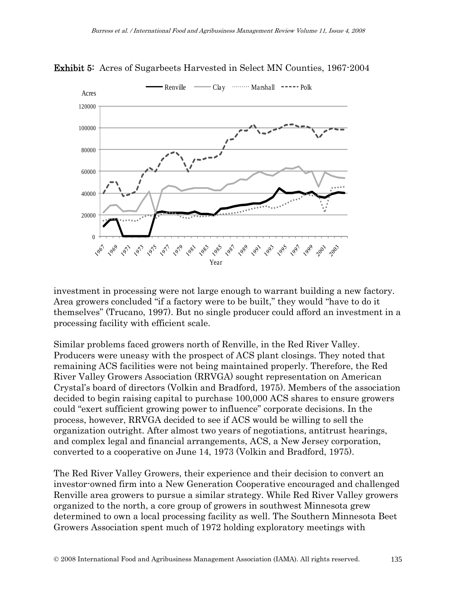

Exhibit 5: Acres of Sugarbeets Harvested in Select MN Counties, 1967-2004

investment in processing were not large enough to warrant building a new factory. Area growers concluded "if a factory were to be built," they would "have to do it themselves" (Trucano, 1997). But no single producer could afford an investment in a processing facility with efficient scale.

Similar problems faced growers north of Renville, in the Red River Valley. Producers were uneasy with the prospect of ACS plant closings. They noted that remaining ACS facilities were not being maintained properly. Therefore, the Red River Valley Growers Association (RRVGA) sought representation on American Crystal's board of directors (Volkin and Bradford, 1975). Members of the association decided to begin raising capital to purchase 100,000 ACS shares to ensure growers could "exert sufficient growing power to influence" corporate decisions. In the process, however, RRVGA decided to see if ACS would be willing to sell the organization outright. After almost two years of negotiations, antitrust hearings, and complex legal and financial arrangements, ACS, a New Jersey corporation, converted to a cooperative on June 14, 1973 (Volkin and Bradford, 1975).

The Red River Valley Growers, their experience and their decision to convert an investor-owned firm into a New Generation Cooperative encouraged and challenged Renville area growers to pursue a similar strategy. While Red River Valley growers organized to the north, a core group of growers in southwest Minnesota grew determined to own a local processing facility as well. The Southern Minnesota Beet Growers Association spent much of 1972 holding exploratory meetings with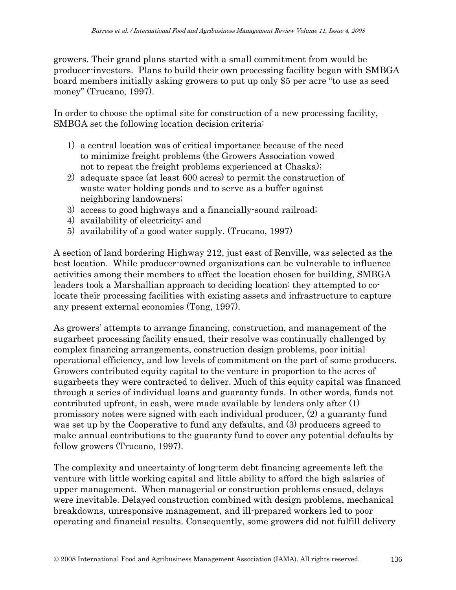growers. Their grand plans started with a small commitment from would be producer-investors. Plans to build their own processing facility began with SMBGA board members initially asking growers to put up only \$5 per acre "to use as seed money" (Trucano, 1997).

In order to choose the optimal site for construction of a new processing facility, SMBGA set the following location decision criteria:

- 1) a central location was of critical importance because of the need to minimize freight problems (the Growers Association vowed not to repeat the freight problems experienced at Chaska);
- 2) adequate space (at least 600 acres) to permit the construction of waste water holding ponds and to serve as a buffer against neighboring landowners;
- 3) access to good highways and a financially-sound railroad;
- 4) availability of electricity; and
- 5) availability of a good water supply. (Trucano, 1997)

A section of land bordering Highway 212, just east of Renville, was selected as the best location. While producer-owned organizations can be vulnerable to influence activities among their members to affect the location chosen for building, SMBGA leaders took a Marshallian approach to deciding location: they attempted to colocate their processing facilities with existing assets and infrastructure to capture any present external economies (Tong, 1997).

As growers' attempts to arrange financing, construction, and management of the sugarbeet processing facility ensued, their resolve was continually challenged by complex financing arrangements, construction design problems, poor initial operational efficiency, and low levels of commitment on the part of some producers. Growers contributed equity capital to the venture in proportion to the acres of sugarbeets they were contracted to deliver. Much of this equity capital was financed through a series of individual loans and guaranty funds. In other words, funds not contributed upfront, in cash, were made available by lenders only after (1) promissory notes were signed with each individual producer, (2) a guaranty fund was set up by the Cooperative to fund any defaults, and (3) producers agreed to make annual contributions to the guaranty fund to cover any potential defaults by fellow growers (Trucano, 1997).

The complexity and uncertainty of long-term debt financing agreements left the venture with little working capital and little ability to afford the high salaries of upper management. When managerial or construction problems ensued, delays were inevitable. Delayed construction combined with design problems, mechanical breakdowns, unresponsive management, and ill-prepared workers led to poor operating and financial results. Consequently, some growers did not fulfill delivery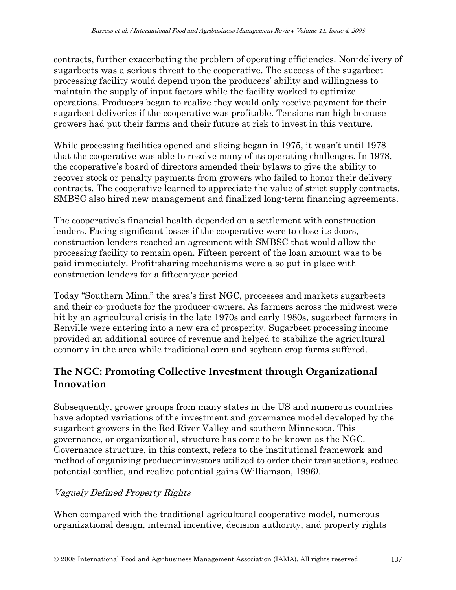contracts, further exacerbating the problem of operating efficiencies. Non-delivery of sugarbeets was a serious threat to the cooperative. The success of the sugarbeet processing facility would depend upon the producers' ability and willingness to maintain the supply of input factors while the facility worked to optimize operations. Producers began to realize they would only receive payment for their sugarbeet deliveries if the cooperative was profitable. Tensions ran high because growers had put their farms and their future at risk to invest in this venture.

While processing facilities opened and slicing began in 1975, it wasn't until 1978 that the cooperative was able to resolve many of its operating challenges. In 1978, the cooperative's board of directors amended their bylaws to give the ability to recover stock or penalty payments from growers who failed to honor their delivery contracts. The cooperative learned to appreciate the value of strict supply contracts. SMBSC also hired new management and finalized long-term financing agreements.

The cooperative's financial health depended on a settlement with construction lenders. Facing significant losses if the cooperative were to close its doors, construction lenders reached an agreement with SMBSC that would allow the processing facility to remain open. Fifteen percent of the loan amount was to be paid immediately. Profit-sharing mechanisms were also put in place with construction lenders for a fifteen-year period.

Today "Southern Minn," the area's first NGC, processes and markets sugarbeets and their co-products for the producer-owners. As farmers across the midwest were hit by an agricultural crisis in the late 1970s and early 1980s, sugarbeet farmers in Renville were entering into a new era of prosperity. Sugarbeet processing income provided an additional source of revenue and helped to stabilize the agricultural economy in the area while traditional corn and soybean crop farms suffered.

# **The NGC: Promoting Collective Investment through Organizational Innovation**

Subsequently, grower groups from many states in the US and numerous countries have adopted variations of the investment and governance model developed by the sugarbeet growers in the Red River Valley and southern Minnesota. This governance, or organizational, structure has come to be known as the NGC. Governance structure, in this context, refers to the institutional framework and method of organizing producer-investors utilized to order their transactions, reduce potential conflict, and realize potential gains (Williamson, 1996).

### Vaguely Defined Property Rights

When compared with the traditional agricultural cooperative model, numerous organizational design, internal incentive, decision authority, and property rights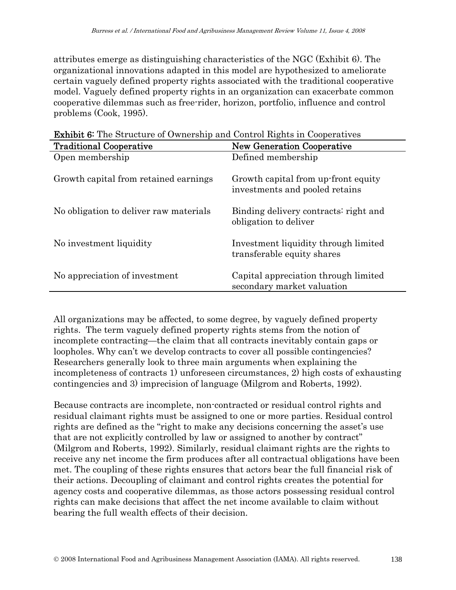attributes emerge as distinguishing characteristics of the NGC (Exhibit 6). The organizational innovations adapted in this model are hypothesized to ameliorate certain vaguely defined property rights associated with the traditional cooperative model. Vaguely defined property rights in an organization can exacerbate common cooperative dilemmas such as free-rider, horizon, portfolio, influence and control problems (Cook, 1995).

| <b>Traditional Cooperative</b>         | <b>New Generation Cooperative</b>                                     |  |  |
|----------------------------------------|-----------------------------------------------------------------------|--|--|
| Open membership                        | Defined membership                                                    |  |  |
| Growth capital from retained earnings  | Growth capital from up-front equity<br>investments and pooled retains |  |  |
| No obligation to deliver raw materials | Binding delivery contracts: right and<br>obligation to deliver        |  |  |
| No investment liquidity                | Investment liquidity through limited<br>transferable equity shares    |  |  |
| No appreciation of investment          | Capital appreciation through limited<br>secondary market valuation    |  |  |

Exhibit 6: The Structure of Ownership and Control Rights in Cooperatives

All organizations may be affected, to some degree, by vaguely defined property rights. The term vaguely defined property rights stems from the notion of incomplete contracting—the claim that all contracts inevitably contain gaps or loopholes. Why can't we develop contracts to cover all possible contingencies? Researchers generally look to three main arguments when explaining the incompleteness of contracts 1) unforeseen circumstances, 2) high costs of exhausting contingencies and 3) imprecision of language (Milgrom and Roberts, 1992).

Because contracts are incomplete, non-contracted or residual control rights and residual claimant rights must be assigned to one or more parties. Residual control rights are defined as the "right to make any decisions concerning the asset's use that are not explicitly controlled by law or assigned to another by contract" (Milgrom and Roberts, 1992). Similarly, residual claimant rights are the rights to receive any net income the firm produces after all contractual obligations have been met. The coupling of these rights ensures that actors bear the full financial risk of their actions. Decoupling of claimant and control rights creates the potential for agency costs and cooperative dilemmas, as those actors possessing residual control rights can make decisions that affect the net income available to claim without bearing the full wealth effects of their decision.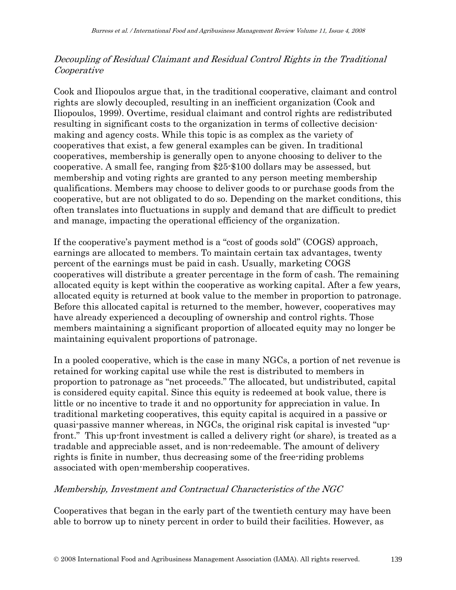#### Decoupling of Residual Claimant and Residual Control Rights in the Traditional Cooperative

Cook and Iliopoulos argue that, in the traditional cooperative, claimant and control rights are slowly decoupled, resulting in an inefficient organization (Cook and Iliopoulos, 1999). Overtime, residual claimant and control rights are redistributed resulting in significant costs to the organization in terms of collective decisionmaking and agency costs. While this topic is as complex as the variety of cooperatives that exist, a few general examples can be given. In traditional cooperatives, membership is generally open to anyone choosing to deliver to the cooperative. A small fee, ranging from \$25-\$100 dollars may be assessed, but membership and voting rights are granted to any person meeting membership qualifications. Members may choose to deliver goods to or purchase goods from the cooperative, but are not obligated to do so. Depending on the market conditions, this often translates into fluctuations in supply and demand that are difficult to predict and manage, impacting the operational efficiency of the organization.

If the cooperative's payment method is a "cost of goods sold" (COGS) approach, earnings are allocated to members. To maintain certain tax advantages, twenty percent of the earnings must be paid in cash. Usually, marketing COGS cooperatives will distribute a greater percentage in the form of cash. The remaining allocated equity is kept within the cooperative as working capital. After a few years, allocated equity is returned at book value to the member in proportion to patronage. Before this allocated capital is returned to the member, however, cooperatives may have already experienced a decoupling of ownership and control rights. Those members maintaining a significant proportion of allocated equity may no longer be maintaining equivalent proportions of patronage.

In a pooled cooperative, which is the case in many NGCs, a portion of net revenue is retained for working capital use while the rest is distributed to members in proportion to patronage as "net proceeds." The allocated, but undistributed, capital is considered equity capital. Since this equity is redeemed at book value, there is little or no incentive to trade it and no opportunity for appreciation in value. In traditional marketing cooperatives, this equity capital is acquired in a passive or quasi-passive manner whereas, in NGCs, the original risk capital is invested "upfront." This up-front investment is called a delivery right (or share), is treated as a tradable and appreciable asset, and is non-redeemable. The amount of delivery rights is finite in number, thus decreasing some of the free-riding problems associated with open-membership cooperatives.

#### Membership, Investment and Contractual Characteristics of the NGC

Cooperatives that began in the early part of the twentieth century may have been able to borrow up to ninety percent in order to build their facilities. However, as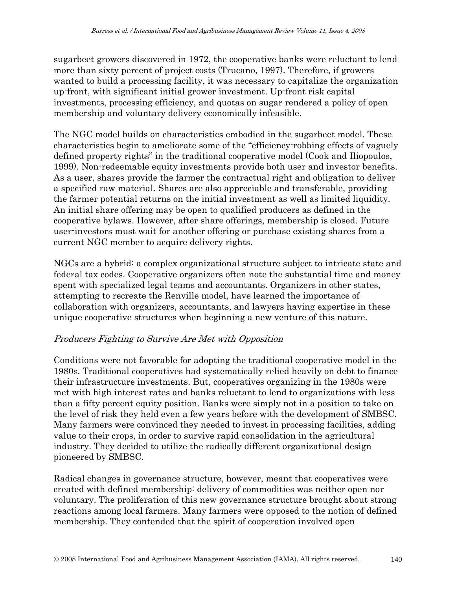sugarbeet growers discovered in 1972, the cooperative banks were reluctant to lend more than sixty percent of project costs (Trucano, 1997). Therefore, if growers wanted to build a processing facility, it was necessary to capitalize the organization up-front, with significant initial grower investment. Up-front risk capital investments, processing efficiency, and quotas on sugar rendered a policy of open membership and voluntary delivery economically infeasible.

The NGC model builds on characteristics embodied in the sugarbeet model. These characteristics begin to ameliorate some of the "efficiency-robbing effects of vaguely defined property rights" in the traditional cooperative model (Cook and Iliopoulos, 1999). Non-redeemable equity investments provide both user and investor benefits. As a user, shares provide the farmer the contractual right and obligation to deliver a specified raw material. Shares are also appreciable and transferable, providing the farmer potential returns on the initial investment as well as limited liquidity. An initial share offering may be open to qualified producers as defined in the cooperative bylaws. However, after share offerings, membership is closed. Future user-investors must wait for another offering or purchase existing shares from a current NGC member to acquire delivery rights.

NGCs are a hybrid: a complex organizational structure subject to intricate state and federal tax codes. Cooperative organizers often note the substantial time and money spent with specialized legal teams and accountants. Organizers in other states, attempting to recreate the Renville model, have learned the importance of collaboration with organizers, accountants, and lawyers having expertise in these unique cooperative structures when beginning a new venture of this nature.

#### Producers Fighting to Survive Are Met with Opposition

Conditions were not favorable for adopting the traditional cooperative model in the 1980s. Traditional cooperatives had systematically relied heavily on debt to finance their infrastructure investments. But, cooperatives organizing in the 1980s were met with high interest rates and banks reluctant to lend to organizations with less than a fifty percent equity position. Banks were simply not in a position to take on the level of risk they held even a few years before with the development of SMBSC. Many farmers were convinced they needed to invest in processing facilities, adding value to their crops, in order to survive rapid consolidation in the agricultural industry. They decided to utilize the radically different organizational design pioneered by SMBSC.

Radical changes in governance structure, however, meant that cooperatives were created with defined membership: delivery of commodities was neither open nor voluntary. The proliferation of this new governance structure brought about strong reactions among local farmers. Many farmers were opposed to the notion of defined membership. They contended that the spirit of cooperation involved open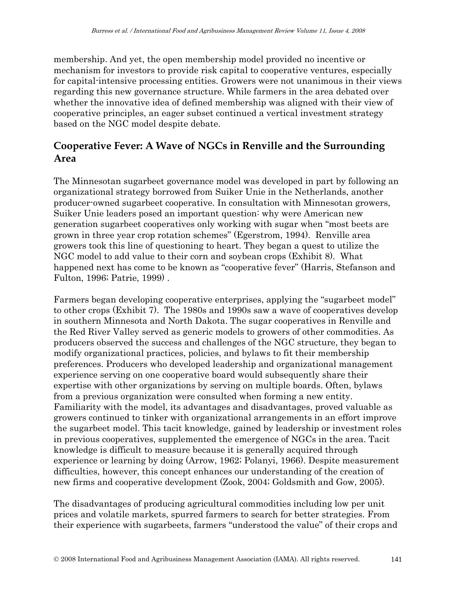membership. And yet, the open membership model provided no incentive or mechanism for investors to provide risk capital to cooperative ventures, especially for capital-intensive processing entities. Growers were not unanimous in their views regarding this new governance structure. While farmers in the area debated over whether the innovative idea of defined membership was aligned with their view of cooperative principles, an eager subset continued a vertical investment strategy based on the NGC model despite debate.

# **Cooperative Fever: A Wave of NGCs in Renville and the Surrounding Area**

The Minnesotan sugarbeet governance model was developed in part by following an organizational strategy borrowed from Suiker Unie in the Netherlands, another producer-owned sugarbeet cooperative. In consultation with Minnesotan growers, Suiker Unie leaders posed an important question: why were American new generation sugarbeet cooperatives only working with sugar when "most beets are grown in three year crop rotation schemes" (Egerstrom, 1994). Renville area growers took this line of questioning to heart. They began a quest to utilize the NGC model to add value to their corn and soybean crops (Exhibit 8). What happened next has come to be known as "cooperative fever" (Harris, Stefanson and Fulton, 1996; Patrie, 1999) .

Farmers began developing cooperative enterprises, applying the "sugarbeet model" to other crops (Exhibit 7). The 1980s and 1990s saw a wave of cooperatives develop in southern Minnesota and North Dakota. The sugar cooperatives in Renville and the Red River Valley served as generic models to growers of other commodities. As producers observed the success and challenges of the NGC structure, they began to modify organizational practices, policies, and bylaws to fit their membership preferences. Producers who developed leadership and organizational management experience serving on one cooperative board would subsequently share their expertise with other organizations by serving on multiple boards. Often, bylaws from a previous organization were consulted when forming a new entity. Familiarity with the model, its advantages and disadvantages, proved valuable as growers continued to tinker with organizational arrangements in an effort improve the sugarbeet model. This tacit knowledge, gained by leadership or investment roles in previous cooperatives, supplemented the emergence of NGCs in the area. Tacit knowledge is difficult to measure because it is generally acquired through experience or learning by doing (Arrow, 1962; Polanyi, 1966). Despite measurement difficulties, however, this concept enhances our understanding of the creation of new firms and cooperative development (Zook, 2004; Goldsmith and Gow, 2005).

The disadvantages of producing agricultural commodities including low per unit prices and volatile markets, spurred farmers to search for better strategies. From their experience with sugarbeets, farmers "understood the value" of their crops and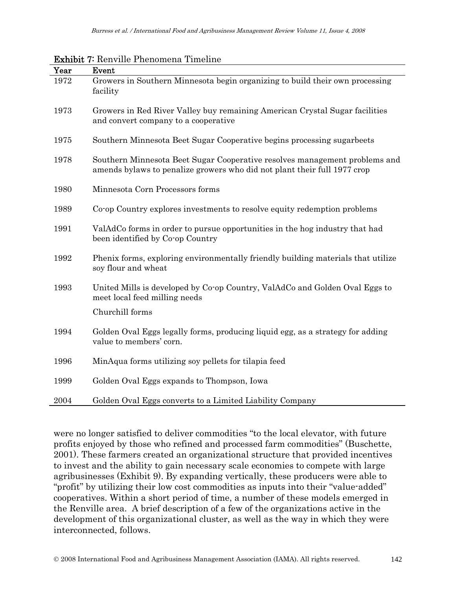| Year | Event                                                                                                                                                   |
|------|---------------------------------------------------------------------------------------------------------------------------------------------------------|
| 1972 | Growers in Southern Minnesota begin organizing to build their own processing<br>facility                                                                |
| 1973 | Growers in Red River Valley buy remaining American Crystal Sugar facilities<br>and convert company to a cooperative                                     |
| 1975 | Southern Minnesota Beet Sugar Cooperative begins processing sugarbeets                                                                                  |
| 1978 | Southern Minnesota Beet Sugar Cooperative resolves management problems and<br>amends by laws to penalize growers who did not plant their full 1977 crop |
| 1980 | Minnesota Corn Processors forms                                                                                                                         |
| 1989 | Co-op Country explores investments to resolve equity redemption problems                                                                                |
| 1991 | ValAdCo forms in order to pursue opportunities in the hog industry that had<br>been identified by Co-op Country                                         |
| 1992 | Phenix forms, exploring environmentally friendly building materials that utilize<br>soy flour and wheat                                                 |
| 1993 | United Mills is developed by Co-op Country, ValAdCo and Golden Oval Eggs to<br>meet local feed milling needs                                            |
|      | Churchill forms                                                                                                                                         |
| 1994 | Golden Oval Eggs legally forms, producing liquid egg, as a strategy for adding<br>value to members' corn.                                               |
| 1996 | MinAqua forms utilizing soy pellets for tilapia feed                                                                                                    |
| 1999 | Golden Oval Eggs expands to Thompson, Iowa                                                                                                              |
| 2004 | Golden Oval Eggs converts to a Limited Liability Company                                                                                                |

#### Exhibit 7: Renville Phenomena Timeline

were no longer satisfied to deliver commodities "to the local elevator, with future profits enjoyed by those who refined and processed farm commodities" (Buschette, 2001). These farmers created an organizational structure that provided incentives to invest and the ability to gain necessary scale economies to compete with large agribusinesses (Exhibit 9). By expanding vertically, these producers were able to "profit" by utilizing their low cost commodities as inputs into their "value-added" cooperatives. Within a short period of time, a number of these models emerged in the Renville area. A brief description of a few of the organizations active in the development of this organizational cluster, as well as the way in which they were interconnected, follows.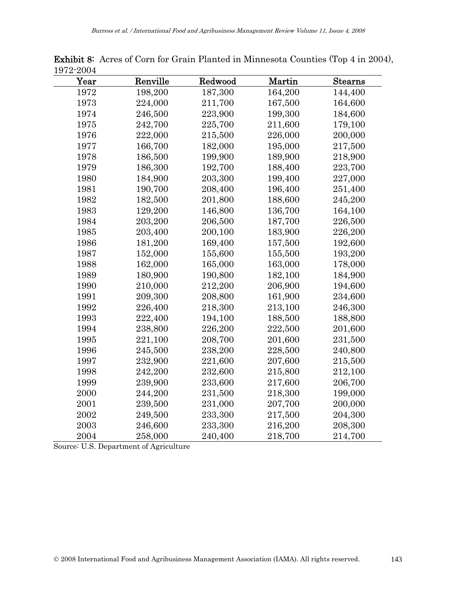| TATA ROOF |          |         |         |                |
|-----------|----------|---------|---------|----------------|
| Year      | Renville | Redwood | Martin  | <b>Stearns</b> |
| 1972      | 198,200  | 187,300 | 164,200 | 144,400        |
| 1973      | 224,000  | 211,700 | 167,500 | 164,600        |
| 1974      | 246,500  | 223,900 | 199,300 | 184,600        |
| 1975      | 242,700  | 225,700 | 211,600 | 179,100        |
| 1976      | 222,000  | 215,500 | 226,000 | 200,000        |
| 1977      | 166,700  | 182,000 | 195,000 | 217,500        |
| 1978      | 186,500  | 199,900 | 189,900 | 218,900        |
| 1979      | 186,300  | 192,700 | 188,400 | 223,700        |
| 1980      | 184,900  | 203,300 | 199,400 | 227,000        |
| 1981      | 190,700  | 208,400 | 196,400 | 251,400        |
| 1982      | 182,500  | 201,800 | 188,600 | 245,200        |
| 1983      | 129,200  | 146,800 | 136,700 | 164,100        |
| 1984      | 203,200  | 206,500 | 187,700 | 226,500        |
| 1985      | 203,400  | 200,100 | 183,900 | 226,200        |
| 1986      | 181,200  | 169,400 | 157,500 | 192,600        |
| 1987      | 152,000  | 155,600 | 155,500 | 193,200        |
| 1988      | 162,000  | 165,000 | 163,000 | 178,000        |
| 1989      | 180,900  | 190,800 | 182,100 | 184,900        |
| 1990      | 210,000  | 212,200 | 206,900 | 194,600        |
| 1991      | 209,300  | 208,800 | 161,900 | 234,600        |
| 1992      | 226,400  | 218,300 | 213,100 | 246,300        |
| 1993      | 222,400  | 194,100 | 188,500 | 188,800        |
| 1994      | 238,800  | 226,200 | 222,500 | 201,600        |
| 1995      | 221,100  | 208,700 | 201,600 | 231,500        |
| 1996      | 245,500  | 238,200 | 228,500 | 240,800        |
| 1997      | 232,900  | 221,600 | 207,600 | 215,500        |
| 1998      | 242,200  | 232,600 | 215,800 | 212,100        |
| 1999      | 239,900  | 233,600 | 217,600 | 206,700        |
| 2000      | 244,200  | 231,500 | 218,300 | 199,000        |
| 2001      | 239,500  | 231,000 | 207,700 | 200,000        |
| 2002      | 249,500  | 233,300 | 217,500 | 204,300        |
| 2003      | 246,600  | 233,300 | 216,200 | 208,300        |
| 2004      | 258,000  | 240,400 | 218,700 | 214,700        |

Exhibit 8: Acres of Corn for Grain Planted in Minnesota Counties (Top 4 in 2004), 1972-2004

Source: U.S. Department of Agriculture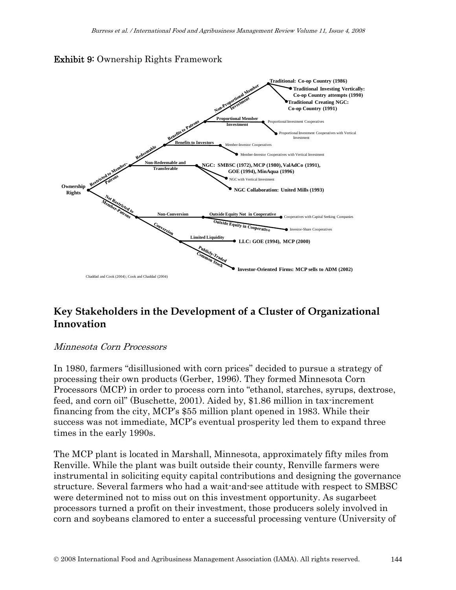



### **Key Stakeholders in the Development of a Cluster of Organizational Innovation**

#### Minnesota Corn Processors

In 1980, farmers "disillusioned with corn prices" decided to pursue a strategy of processing their own products (Gerber, 1996). They formed Minnesota Corn Processors (MCP) in order to process corn into "ethanol, starches, syrups, dextrose, feed, and corn oil" (Buschette, 2001). Aided by, \$1.86 million in tax-increment financing from the city, MCP's \$55 million plant opened in 1983. While their success was not immediate, MCP's eventual prosperity led them to expand three times in the early 1990s.

The MCP plant is located in Marshall, Minnesota, approximately fifty miles from Renville. While the plant was built outside their county, Renville farmers were instrumental in soliciting equity capital contributions and designing the governance structure. Several farmers who had a wait-and-see attitude with respect to SMBSC were determined not to miss out on this investment opportunity. As sugarbeet processors turned a profit on their investment, those producers solely involved in corn and soybeans clamored to enter a successful processing venture (University of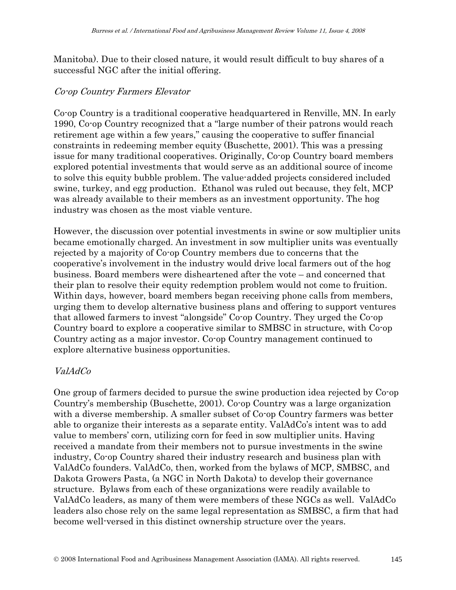Manitoba). Due to their closed nature, it would result difficult to buy shares of a successful NGC after the initial offering.

#### Co-op Country Farmers Elevator

Co-op Country is a traditional cooperative headquartered in Renville, MN. In early 1990, Co-op Country recognized that a "large number of their patrons would reach retirement age within a few years," causing the cooperative to suffer financial constraints in redeeming member equity (Buschette, 2001). This was a pressing issue for many traditional cooperatives. Originally, Co-op Country board members explored potential investments that would serve as an additional source of income to solve this equity bubble problem. The value-added projects considered included swine, turkey, and egg production. Ethanol was ruled out because, they felt, MCP was already available to their members as an investment opportunity. The hog industry was chosen as the most viable venture.

However, the discussion over potential investments in swine or sow multiplier units became emotionally charged. An investment in sow multiplier units was eventually rejected by a majority of Co-op Country members due to concerns that the cooperative's involvement in the industry would drive local farmers out of the hog business. Board members were disheartened after the vote – and concerned that their plan to resolve their equity redemption problem would not come to fruition. Within days, however, board members began receiving phone calls from members, urging them to develop alternative business plans and offering to support ventures that allowed farmers to invest "alongside" Co-op Country. They urged the Co-op Country board to explore a cooperative similar to SMBSC in structure, with Co-op Country acting as a major investor. Co-op Country management continued to explore alternative business opportunities.

#### ValAdCo

One group of farmers decided to pursue the swine production idea rejected by Co-op Country's membership (Buschette, 2001). Co-op Country was a large organization with a diverse membership. A smaller subset of Co-op Country farmers was better able to organize their interests as a separate entity. ValAdCo's intent was to add value to members' corn, utilizing corn for feed in sow multiplier units. Having received a mandate from their members not to pursue investments in the swine industry, Co-op Country shared their industry research and business plan with ValAdCo founders. ValAdCo, then, worked from the bylaws of MCP, SMBSC, and Dakota Growers Pasta, (a NGC in North Dakota) to develop their governance structure. Bylaws from each of these organizations were readily available to ValAdCo leaders, as many of them were members of these NGCs as well. ValAdCo leaders also chose rely on the same legal representation as SMBSC, a firm that had become well-versed in this distinct ownership structure over the years.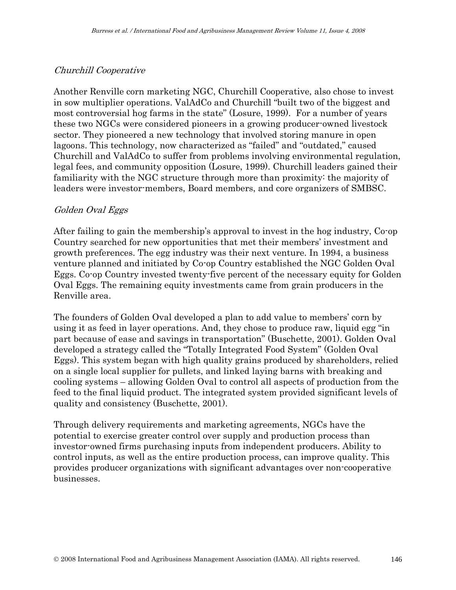#### Churchill Cooperative

Another Renville corn marketing NGC, Churchill Cooperative, also chose to invest in sow multiplier operations. ValAdCo and Churchill "built two of the biggest and most controversial hog farms in the state" (Losure, 1999). For a number of years these two NGCs were considered pioneers in a growing producer-owned livestock sector. They pioneered a new technology that involved storing manure in open lagoons. This technology, now characterized as "failed" and "outdated," caused Churchill and ValAdCo to suffer from problems involving environmental regulation, legal fees, and community opposition (Losure, 1999). Churchill leaders gained their familiarity with the NGC structure through more than proximity: the majority of leaders were investor-members, Board members, and core organizers of SMBSC.

#### Golden Oval Eggs

After failing to gain the membership's approval to invest in the hog industry, Co-op Country searched for new opportunities that met their members' investment and growth preferences. The egg industry was their next venture. In 1994, a business venture planned and initiated by Co-op Country established the NGC Golden Oval Eggs. Co-op Country invested twenty-five percent of the necessary equity for Golden Oval Eggs. The remaining equity investments came from grain producers in the Renville area.

The founders of Golden Oval developed a plan to add value to members' corn by using it as feed in layer operations. And, they chose to produce raw, liquid egg "in part because of ease and savings in transportation" (Buschette, 2001). Golden Oval developed a strategy called the "Totally Integrated Food System" (Golden Oval Eggs). This system began with high quality grains produced by shareholders, relied on a single local supplier for pullets, and linked laying barns with breaking and cooling systems – allowing Golden Oval to control all aspects of production from the feed to the final liquid product. The integrated system provided significant levels of quality and consistency (Buschette, 2001).

Through delivery requirements and marketing agreements, NGCs have the potential to exercise greater control over supply and production process than investor-owned firms purchasing inputs from independent producers. Ability to control inputs, as well as the entire production process, can improve quality. This provides producer organizations with significant advantages over non-cooperative businesses.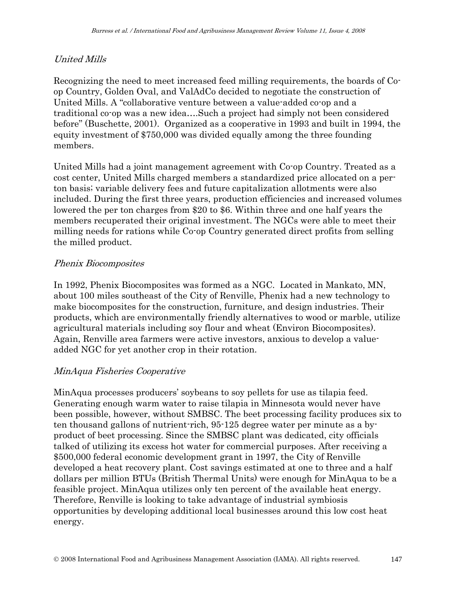### United Mills

Recognizing the need to meet increased feed milling requirements, the boards of Coop Country, Golden Oval, and ValAdCo decided to negotiate the construction of United Mills. A "collaborative venture between a value-added co-op and a traditional co-op was a new idea….Such a project had simply not been considered before" (Buschette, 2001). Organized as a cooperative in 1993 and built in 1994, the equity investment of \$750,000 was divided equally among the three founding members.

United Mills had a joint management agreement with Co-op Country. Treated as a cost center, United Mills charged members a standardized price allocated on a perton basis; variable delivery fees and future capitalization allotments were also included. During the first three years, production efficiencies and increased volumes lowered the per ton charges from \$20 to \$6. Within three and one half years the members recuperated their original investment. The NGCs were able to meet their milling needs for rations while Co-op Country generated direct profits from selling the milled product.

#### Phenix Biocomposites

In 1992, Phenix Biocomposites was formed as a NGC. Located in Mankato, MN, about 100 miles southeast of the City of Renville, Phenix had a new technology to make biocomposites for the construction, furniture, and design industries. Their products, which are environmentally friendly alternatives to wood or marble, utilize agricultural materials including soy flour and wheat (Environ Biocomposites). Again, Renville area farmers were active investors, anxious to develop a valueadded NGC for yet another crop in their rotation.

#### MinAqua Fisheries Cooperative

MinAqua processes producers' soybeans to soy pellets for use as tilapia feed. Generating enough warm water to raise tilapia in Minnesota would never have been possible, however, without SMBSC. The beet processing facility produces six to ten thousand gallons of nutrient-rich, 95-125 degree water per minute as a byproduct of beet processing. Since the SMBSC plant was dedicated, city officials talked of utilizing its excess hot water for commercial purposes. After receiving a \$500,000 federal economic development grant in 1997, the City of Renville developed a heat recovery plant. Cost savings estimated at one to three and a half dollars per million BTUs (British Thermal Units) were enough for MinAqua to be a feasible project. MinAqua utilizes only ten percent of the available heat energy. Therefore, Renville is looking to take advantage of industrial symbiosis opportunities by developing additional local businesses around this low cost heat energy.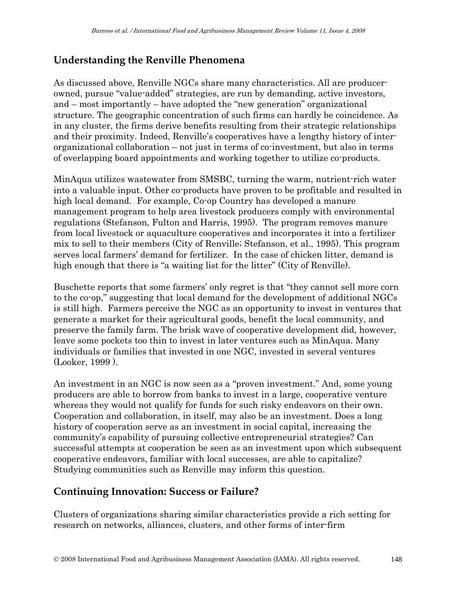# **Understanding the Renville Phenomena**

As discussed above, Renville NGCs share many characteristics. All are producerowned, pursue "value-added" strategies, are run by demanding, active investors, and – most importantly – have adopted the "new generation" organizational structure. The geographic concentration of such firms can hardly be coincidence. As in any cluster, the firms derive benefits resulting from their strategic relationships and their proximity. Indeed, Renville's cooperatives have a lengthy history of interorganizational collaboration – not just in terms of co-investment, but also in terms of overlapping board appointments and working together to utilize co-products.

MinAqua utilizes wastewater from SMSBC, turning the warm, nutrient-rich water into a valuable input. Other co-products have proven to be profitable and resulted in high local demand. For example, Co-op Country has developed a manure management program to help area livestock producers comply with environmental regulations (Stefanson, Fulton and Harris, 1995). The program removes manure from local livestock or aquaculture cooperatives and incorporates it into a fertilizer mix to sell to their members (City of Renville; Stefanson, et al., 1995). This program serves local farmers' demand for fertilizer. In the case of chicken litter, demand is high enough that there is "a waiting list for the litter" (City of Renville).

Buschette reports that some farmers' only regret is that "they cannot sell more corn to the co-op," suggesting that local demand for the development of additional NGCs is still high. Farmers perceive the NGC as an opportunity to invest in ventures that generate a market for their agricultural goods, benefit the local community, and preserve the family farm. The brisk wave of cooperative development did, however, leave some pockets too thin to invest in later ventures such as MinAqua. Many individuals or families that invested in one NGC, invested in several ventures (Looker, 1999 ).

An investment in an NGC is now seen as a "proven investment." And, some young producers are able to borrow from banks to invest in a large, cooperative venture whereas they would not qualify for funds for such risky endeavors on their own. Cooperation and collaboration, in itself, may also be an investment. Does a long history of cooperation serve as an investment in social capital, increasing the community's capability of pursuing collective entrepreneurial strategies? Can successful attempts at cooperation be seen as an investment upon which subsequent cooperative endeavors, familiar with local successes, are able to capitalize? Studying communities such as Renville may inform this question.

# **Continuing Innovation: Success or Failure?**

Clusters of organizations sharing similar characteristics provide a rich setting for research on networks, alliances, clusters, and other forms of inter-firm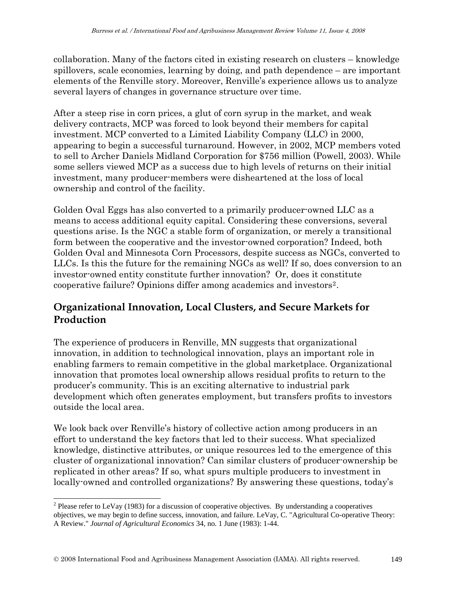collaboration. Many of the factors cited in existing research on clusters – knowledge spillovers, scale economies, learning by doing, and path dependence – are important elements of the Renville story. Moreover, Renville's experience allows us to analyze several layers of changes in governance structure over time.

After a steep rise in corn prices, a glut of corn syrup in the market, and weak delivery contracts, MCP was forced to look beyond their members for capital investment. MCP converted to a Limited Liability Company (LLC) in 2000, appearing to begin a successful turnaround. However, in 2002, MCP members voted to sell to Archer Daniels Midland Corporation for \$756 million (Powell, 2003). While some sellers viewed MCP as a success due to high levels of returns on their initial investment, many producer-members were disheartened at the loss of local ownership and control of the facility.

Golden Oval Eggs has also converted to a primarily producer-owned LLC as a means to access additional equity capital. Considering these conversions, several questions arise. Is the NGC a stable form of organization, or merely a transitional form between the cooperative and the investor-owned corporation? Indeed, both Golden Oval and Minnesota Corn Processors, despite success as NGCs, converted to LLCs. Is this the future for the remaining NGCs as well? If so, does conversion to an investor-owned entity constitute further innovation? Or, does it constitute cooperative failure? Opinions differ among academics and investors[2](#page-22-0).

### **Organizational Innovation, Local Clusters, and Secure Markets for Production**

The experience of producers in Renville, MN suggests that organizational innovation, in addition to technological innovation, plays an important role in enabling farmers to remain competitive in the global marketplace. Organizational innovation that promotes local ownership allows residual profits to return to the producer's community. This is an exciting alternative to industrial park development which often generates employment, but transfers profits to investors outside the local area.

We look back over Renville's history of collective action among producers in an effort to understand the key factors that led to their success. What specialized knowledge, distinctive attributes, or unique resources led to the emergence of this cluster of organizational innovation? Can similar clusters of producer-ownership be replicated in other areas? If so, what spurs multiple producers to investment in locally-owned and controlled organizations? By answering these questions, today's

 $\overline{a}$ 

<span id="page-22-0"></span><sup>&</sup>lt;sup>2</sup> Please refer to LeVay (1983) for a discussion of cooperative objectives. By understanding a cooperatives objectives, we may begin to define success, innovation, and failure. LeVay, C. "Agricultural Co-operative Theory: A Review." *Journal of Agricultural Economics* 34, no. 1 June (1983): 1-44.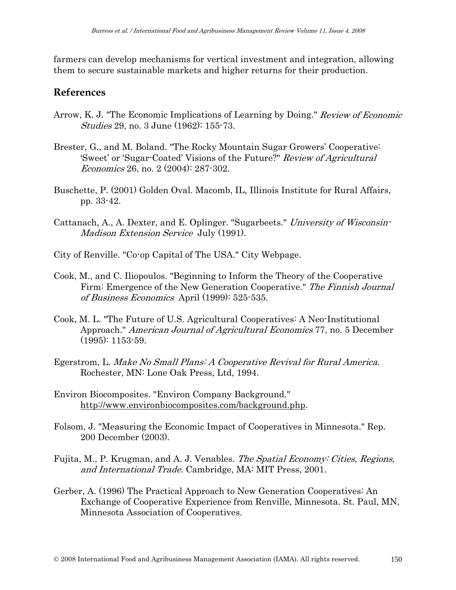farmers can develop mechanisms for vertical investment and integration, allowing them to secure sustainable markets and higher returns for their production.

#### **References**

- Arrow, K. J. "The Economic Implications of Learning by Doing." Review of Economic *Studies* 29, no. 3 June (1962): 155-73.
- Brester, G., and M. Boland. "The Rocky Mountain Sugar Growers' Cooperative: 'Sweet' or 'Sugar-Coated' Visions of the Future?" Review of Agricultural Economics 26, no. 2 (2004): 287-302.
- Buschette, P. (2001) Golden Oval. Macomb, IL, Illinois Institute for Rural Affairs, pp. 33-42.
- Cattanach, A., A. Dexter, and E. Oplinger. "Sugarbeets." University of Wisconsin-Madison Extension Service July (1991).
- City of Renville. "Co-op Capital of The USA." City Webpage.
- Cook, M., and C. Iliopoulos. "Beginning to Inform the Theory of the Cooperative Firm: Emergence of the New Generation Cooperative." The Finnish Journal of Business Economics April (1999): 525-535.
- Cook, M. L. "The Future of U.S. Agricultural Cooperatives: A Neo-Institutional Approach." American Journal of Agricultural Economics 77, no. 5 December (1995): 1153-59.
- Egerstrom, L. Make No Small Plans: A Cooperative Revival for Rural America. Rochester, MN: Lone Oak Press, Ltd, 1994.
- Environ Biocomposites. "Environ Company Background." <http://www.environbiocomposites.com/background.php>.
- Folsom, J. "Measuring the Economic Impact of Cooperatives in Minnesota." Rep. 200 December (2003).
- Fujita, M., P. Krugman, and A. J. Venables. The Spatial Economy: Cities, Regions, and International Trade. Cambridge, MA: MIT Press, 2001.
- Gerber, A. (1996) The Practical Approach to New Generation Cooperatives: An Exchange of Cooperative Experience from Renville, Minnesota. St. Paul, MN, Minnesota Association of Cooperatives.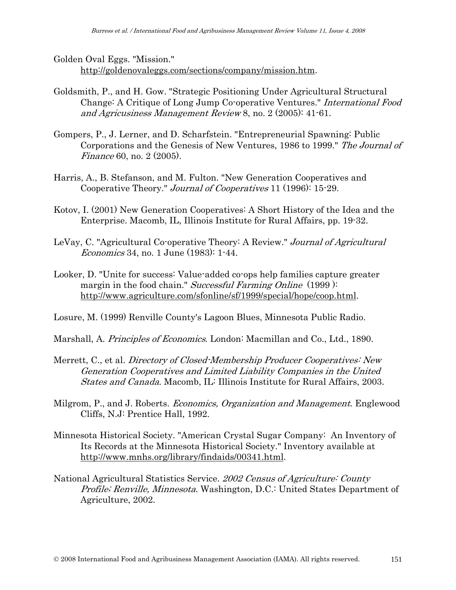Golden Oval Eggs. "Mission." [http://goldenovaleggs.com/sections/company/mission.htm.](http://goldenovaleggs.com/sections/company/mission.htm)

- Goldsmith, P., and H. Gow. "Strategic Positioning Under Agricultural Structural Change: A Critique of Long Jump Co-operative Ventures." International Food and Agricusiness Management Review 8, no. 2 (2005): 41-61.
- Gompers, P., J. Lerner, and D. Scharfstein. "Entrepreneurial Spawning: Public Corporations and the Genesis of New Ventures, 1986 to 1999." The Journal of Finance 60, no. 2 (2005).
- Harris, A., B. Stefanson, and M. Fulton. "New Generation Cooperatives and Cooperative Theory." Journal of Cooperatives 11 (1996): 15-29.
- Kotov, I. (2001) New Generation Cooperatives: A Short History of the Idea and the Enterprise. Macomb, IL, Illinois Institute for Rural Affairs, pp. 19-32.
- LeVay, C. "Agricultural Co-operative Theory: A Review." Journal of Agricultural Economics 34, no. 1 June (1983): 1-44.
- Looker, D. "Unite for success: Value-added co-ops help families capture greater margin in the food chain." Successful Farming Online (1999): <http://www.agriculture.com/sfonline/sf/1999/special/hope/coop.html>.

Losure, M. (1999) Renville County's Lagoon Blues, Minnesota Public Radio.

Marshall, A. Principles of Economics. London: Macmillan and Co., Ltd., 1890.

- Merrett, C., et al. Directory of Closed-Membership Producer Cooperatives: New Generation Cooperatives and Limited Liability Companies in the United States and Canada. Macomb, IL: Illinois Institute for Rural Affairs, 2003.
- Milgrom, P., and J. Roberts. *Economics, Organization and Management*. Englewood Cliffs, N.J: Prentice Hall, 1992.
- Minnesota Historical Society. "American Crystal Sugar Company: An Inventory of Its Records at the Minnesota Historical Society." Inventory available at [http://www.mnhs.org/library/findaids/00341.html.](http://www.mnhs.org/library/findaids/00341.html)
- National Agricultural Statistics Service. 2002 Census of Agriculture: County Profile; Renville, Minnesota. Washington, D.C.: United States Department of Agriculture, 2002.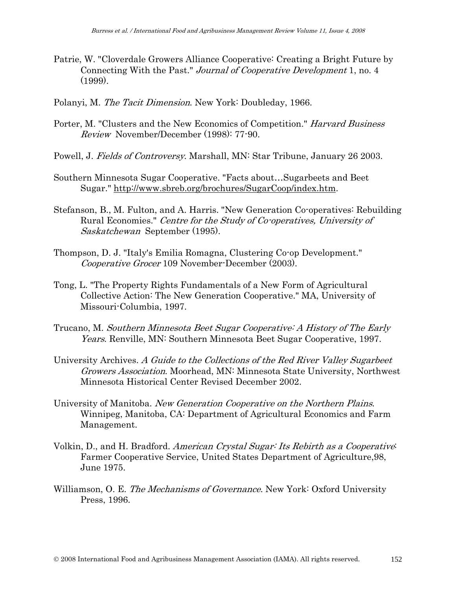- Patrie, W. "Cloverdale Growers Alliance Cooperative: Creating a Bright Future by Connecting With the Past." Journal of Cooperative Development 1, no. 4 (1999).
- Polanyi, M. The Tacit Dimension. New York: Doubleday, 1966.
- Porter, M. "Clusters and the New Economics of Competition." Harvard Business Review November/December (1998): 77-90.
- Powell, J. Fields of Controversy. Marshall, MN: Star Tribune, January 26 2003.
- Southern Minnesota Sugar Cooperative. "Facts about…Sugarbeets and Beet Sugar." <http://www.sbreb.org/brochures/SugarCoop/index.htm>.
- Stefanson, B., M. Fulton, and A. Harris. "New Generation Co-operatives: Rebuilding Rural Economies." Centre for the Study of Co-operatives, University of Saskatchewan September (1995).
- Thompson, D. J. "Italy's Emilia Romagna, Clustering Co-op Development." Cooperative Grocer 109 November-December (2003).
- Tong, L. "The Property Rights Fundamentals of a New Form of Agricultural Collective Action: The New Generation Cooperative." MA, University of Missouri-Columbia, 1997.
- Trucano, M. Southern Minnesota Beet Sugar Cooperative: A History of The Early Years. Renville, MN: Southern Minnesota Beet Sugar Cooperative, 1997.
- University Archives. A Guide to the Collections of the Red River Valley Sugarbeet Growers Association. Moorhead, MN: Minnesota State University, Northwest Minnesota Historical Center Revised December 2002.
- University of Manitoba. New Generation Cooperative on the Northern Plains. Winnipeg, Manitoba, CA: Department of Agricultural Economics and Farm Management.
- Volkin, D., and H. Bradford. American Crystal Sugar: Its Rebirth as a Cooperative: Farmer Cooperative Service, United States Department of Agriculture,98, June 1975.
- Williamson, O. E. The Mechanisms of Governance. New York: Oxford University Press, 1996.